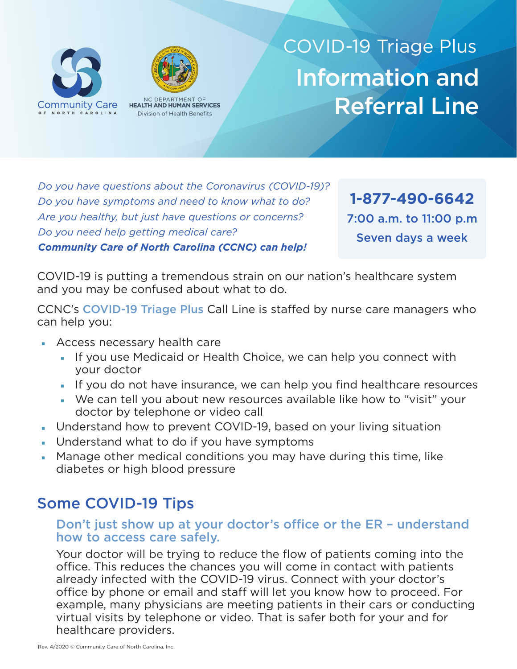



NC DEPARTMENT OF **HEALTH AND HUMAN SERVICES** Division of Health Benefits

# COVID-19 Triage Plus Information and Referral Line

*Do you have questions about the Coronavirus (COVID-19)? Do you have symptoms and need to know what to do? Are you healthy, but just have questions or concerns? Do you need help getting medical care? Community Care of North Carolina (CCNC) can help!*

**1-877-490-6642** 7:00 a.m. to 11:00 p.m Seven days a week

COVID-19 is putting a tremendous strain on our nation's healthcare system and you may be confused about what to do.

CCNC's COVID-19 Triage Plus Call Line is staffed by nurse care managers who can help you:

- Access necessary health care
	- If you use Medicaid or Health Choice, we can help you connect with your doctor
	- If you do not have insurance, we can help you find healthcare resources
	- We can tell you about new resources available like how to "visit" your doctor by telephone or video call
- Understand how to prevent COVID-19, based on your living situation
- Understand what to do if you have symptoms
- Manage other medical conditions you may have during this time, like diabetes or high blood pressure

## Some COVID-19 Tips

#### Don't just show up at your doctor's office or the ER – understand how to access care safely.

Your doctor will be trying to reduce the flow of patients coming into the office. This reduces the chances you will come in contact with patients already infected with the COVID-19 virus. Connect with your doctor's office by phone or email and staff will let you know how to proceed. For example, many physicians are meeting patients in their cars or conducting virtual visits by telephone or video. That is safer both for your and for healthcare providers.